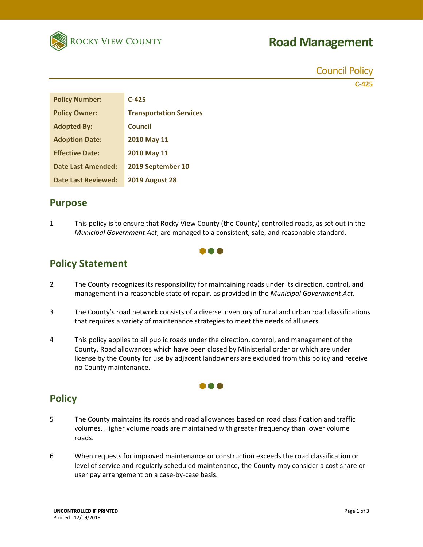

# **Road Management**

Council Policy **C‐425**

| <b>Policy Number:</b>      | $C-425$                        |
|----------------------------|--------------------------------|
| <b>Policy Owner:</b>       | <b>Transportation Services</b> |
| <b>Adopted By:</b>         | Council                        |
| <b>Adoption Date:</b>      | 2010 May 11                    |
| <b>Effective Date:</b>     | 2010 May 11                    |
| <b>Date Last Amended:</b>  | 2019 September 10              |
| <b>Date Last Reviewed:</b> | <b>2019 August 28</b>          |

## **Purpose**

1 This policy is to ensure that Rocky View County (the County) controlled roads, as set out in the *Municipal Government Act*, are managed to a consistent, safe, and reasonable standard.



# **Policy Statement**

- 2 The County recognizes its responsibility for maintaining roads under its direction, control, and management in a reasonable state of repair, as provided in the *Municipal Government Act*.
- 3 The County's road network consists of a diverse inventory of rural and urban road classifications that requires a variety of maintenance strategies to meet the needs of all users.
- 4 This policy applies to all public roads under the direction, control, and management of the County. Road allowances which have been closed by Ministerial order or which are under license by the County for use by adjacent landowners are excluded from this policy and receive no County maintenance.

I A A

# **Policy**

- 5 The County maintains its roads and road allowances based on road classification and traffic volumes. Higher volume roads are maintained with greater frequency than lower volume roads.
- 6 When requests for improved maintenance or construction exceeds the road classification or level of service and regularly scheduled maintenance, the County may consider a cost share or user pay arrangement on a case‐by‐case basis.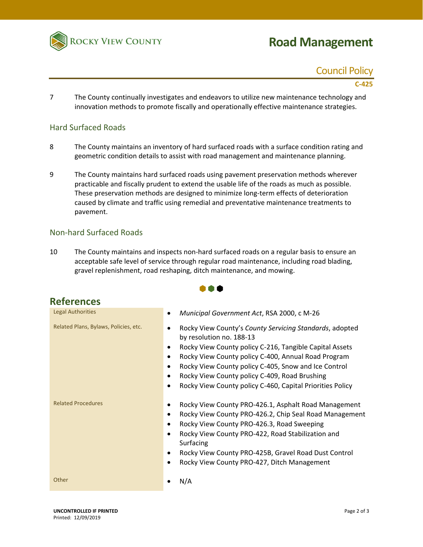

# **Road Management**

# Council Policy

#### **C‐425**

7 The County continually investigates and endeavors to utilize new maintenance technology and innovation methods to promote fiscally and operationally effective maintenance strategies.

#### Hard Surfaced Roads

- 8 The County maintains an inventory of hard surfaced roads with a surface condition rating and geometric condition details to assist with road management and maintenance planning.
- 9 The County maintains hard surfaced roads using pavement preservation methods wherever practicable and fiscally prudent to extend the usable life of the roads as much as possible. These preservation methods are designed to minimize long‐term effects of deterioration caused by climate and traffic using remedial and preventative maintenance treatments to pavement.

#### Non‐hard Surfaced Roads

10 The County maintains and inspects non-hard surfaced roads on a regular basis to ensure an acceptable safe level of service through regular road maintenance, including road blading, gravel replenishment, road reshaping, ditch maintenance, and mowing.

88 O

| <b>References</b>                     |                                                                                                                                                                                                                                                                                                                                                                                                                         |
|---------------------------------------|-------------------------------------------------------------------------------------------------------------------------------------------------------------------------------------------------------------------------------------------------------------------------------------------------------------------------------------------------------------------------------------------------------------------------|
| Legal Authorities                     | Municipal Government Act, RSA 2000, c M-26<br>$\bullet$                                                                                                                                                                                                                                                                                                                                                                 |
| Related Plans, Bylaws, Policies, etc. | Rocky View County's County Servicing Standards, adopted<br>by resolution no. 188-13<br>Rocky View County policy C-216, Tangible Capital Assets<br>$\bullet$<br>Rocky View County policy C-400, Annual Road Program<br>$\bullet$<br>Rocky View County policy C-405, Snow and Ice Control<br>Rocky View County policy C-409, Road Brushing<br>٠<br>Rocky View County policy C-460, Capital Priorities Policy<br>$\bullet$ |
| <b>Related Procedures</b>             | Rocky View County PRO-426.1, Asphalt Road Management<br>Rocky View County PRO-426.2, Chip Seal Road Management<br>٠<br>Rocky View County PRO-426.3, Road Sweeping<br>$\bullet$<br>Rocky View County PRO-422, Road Stabilization and<br>$\bullet$<br>Surfacing<br>Rocky View County PRO-425B, Gravel Road Dust Control<br>٠<br>Rocky View County PRO-427, Ditch Management<br>$\bullet$                                  |
| Other                                 | N/A                                                                                                                                                                                                                                                                                                                                                                                                                     |